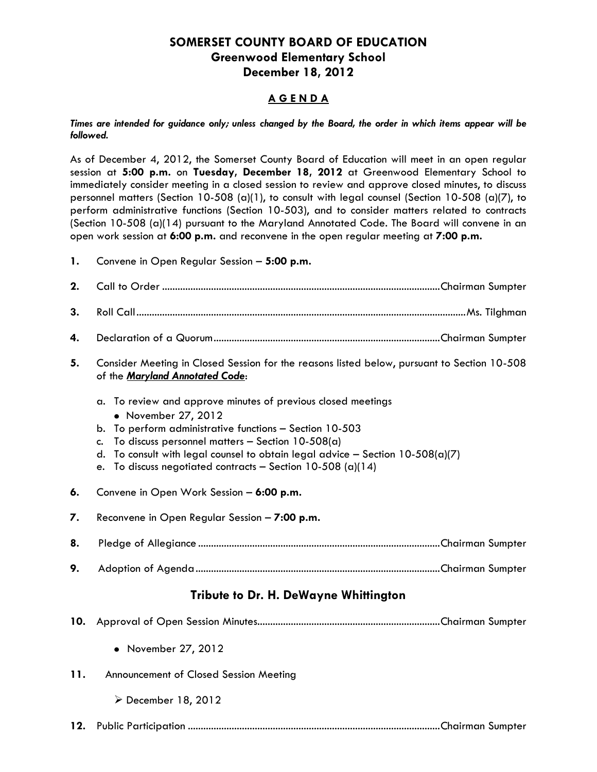# **SOMERSET COUNTY BOARD OF EDUCATION Greenwood Elementary School December 18, 2012**

## **A G E N D A**

*Times are intended for guidance only; unless changed by the Board, the order in which items appear will be followed.*

As of December 4, 2012, the Somerset County Board of Education will meet in an open regular session at **5:00 p.m.** on **Tuesday, December 18, 2012** at Greenwood Elementary School to immediately consider meeting in a closed session to review and approve closed minutes, to discuss personnel matters (Section 10-508 (a)(1), to consult with legal counsel (Section 10-508 (a)(7), to perform administrative functions (Section 10-503), and to consider matters related to contracts (Section 10-508 (a)(14) pursuant to the Maryland Annotated Code. The Board will convene in an open work session at **6:00 p.m.** and reconvene in the open regular meeting at **7:00 p.m.**

**1.** Convene in Open Regular Session – **5:00 p.m.**

| 2.  |                                                                                                                                                                                                                                                                                                                                                                           |  |  |
|-----|---------------------------------------------------------------------------------------------------------------------------------------------------------------------------------------------------------------------------------------------------------------------------------------------------------------------------------------------------------------------------|--|--|
| 3.  |                                                                                                                                                                                                                                                                                                                                                                           |  |  |
| 4.  |                                                                                                                                                                                                                                                                                                                                                                           |  |  |
| 5.  | Consider Meeting in Closed Session for the reasons listed below, pursuant to Section 10-508<br>of the Maryland Annotated Code:                                                                                                                                                                                                                                            |  |  |
|     | To review and approve minutes of previous closed meetings<br>a.<br>• November 27, 2012<br>To perform administrative functions - Section 10-503<br>b.<br>To discuss personnel matters - Section $10-508(a)$<br>C.<br>To consult with legal counsel to obtain legal advice - Section $10-508(a)(7)$<br>d.<br>To discuss negotiated contracts - Section 10-508 (a)(14)<br>e. |  |  |
| 6.  | Convene in Open Work Session - 6:00 p.m.                                                                                                                                                                                                                                                                                                                                  |  |  |
| 7.  | Reconvene in Open Regular Session - 7:00 p.m.                                                                                                                                                                                                                                                                                                                             |  |  |
| 8.  |                                                                                                                                                                                                                                                                                                                                                                           |  |  |
| 9.  |                                                                                                                                                                                                                                                                                                                                                                           |  |  |
|     | Tribute to Dr. H. DeWayne Whittington                                                                                                                                                                                                                                                                                                                                     |  |  |
| 10. |                                                                                                                                                                                                                                                                                                                                                                           |  |  |
|     | • November 27, 2012                                                                                                                                                                                                                                                                                                                                                       |  |  |
| 11. | Announcement of Closed Session Meeting                                                                                                                                                                                                                                                                                                                                    |  |  |
|     | ▶ December 18, 2012                                                                                                                                                                                                                                                                                                                                                       |  |  |
| 12. |                                                                                                                                                                                                                                                                                                                                                                           |  |  |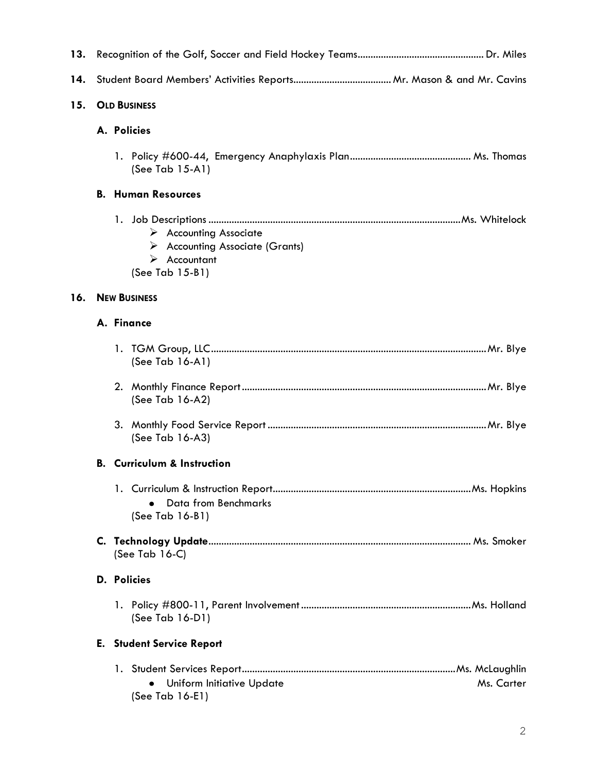| 13. |                     |                                                                                                                            |
|-----|---------------------|----------------------------------------------------------------------------------------------------------------------------|
| 14. |                     |                                                                                                                            |
| 15. | <b>OLD BUSINESS</b> |                                                                                                                            |
|     |                     | A. Policies                                                                                                                |
|     |                     | (See Tab $15-A1$ )                                                                                                         |
|     |                     | <b>B. Human Resources</b>                                                                                                  |
|     |                     | $\triangleright$ Accounting Associate<br>> Accounting Associate (Grants)<br>$\triangleright$ Accountant<br>(See Tab 15-B1) |
| 16. |                     | <b>NEW BUSINESS</b>                                                                                                        |
|     |                     | A. Finance                                                                                                                 |
|     |                     | (See Tab 16-A1)                                                                                                            |
|     |                     | (See Tab 16-A2)                                                                                                            |
|     |                     | (See Tab $16-A3$ )                                                                                                         |
|     | В.                  | <b>Curriculum &amp; Instruction</b>                                                                                        |
|     |                     | Data from Benchmarks<br>$(See Tab 16-B1)$                                                                                  |
|     |                     | (See Tab $16-C$ )                                                                                                          |
|     |                     | D. Policies                                                                                                                |
|     |                     | (See Tab $16-D1$ )                                                                                                         |
|     |                     | <b>E.</b> Student Service Report                                                                                           |
|     |                     | Uniform Initiative Update<br>Ms. Carter<br>(See Tab 16-E1)                                                                 |